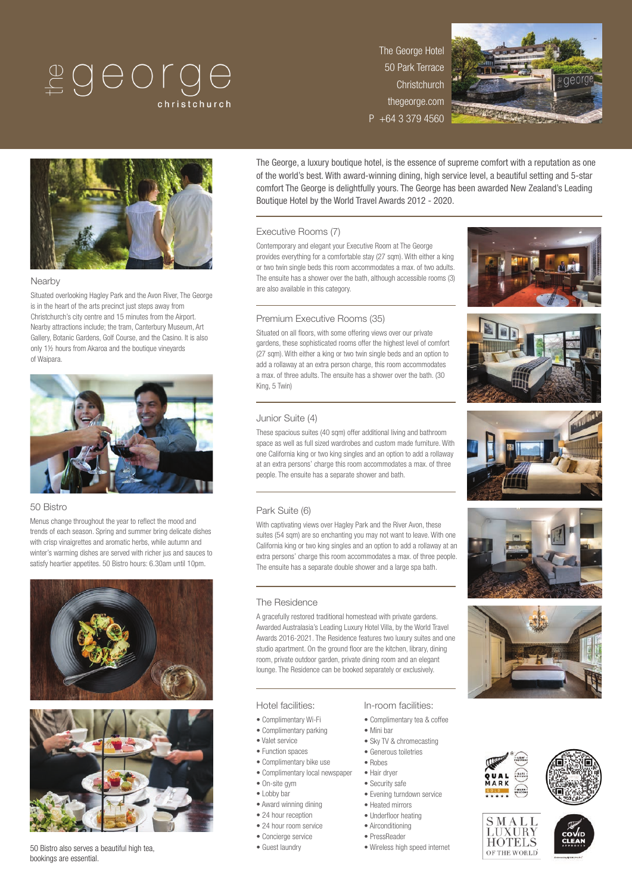# $IGOOAG$

The George Hotel 50 Park Terrace **Christchurch** thegeorge.com P +64 3 379 4560





#### Nearby

Situated overlooking Hagley Park and the Avon River, The George is in the heart of the arts precinct just steps away from Christchurch's city centre and 15 minutes from the Airport. Nearby attractions include; the tram, Canterbury Museum, Art Gallery, Botanic Gardens, Golf Course, and the Casino. It is also only 1½ hours from Akaroa and the boutique vineyards of Waipara.



## 50 Bistro

Menus change throughout the year to reflect the mood and trends of each season. Spring and summer bring delicate dishes with crisp vinaigrettes and aromatic herbs, while autumn and winter's warming dishes are served with richer jus and sauces to satisfy heartier appetites. 50 Bistro hours: 6.30am until 10pm.





50 Bistro also serves a beautiful high tea, bookings are essential.

The George, a luxury boutique hotel, is the essence of supreme comfort with a reputation as one of the world's best. With award-winning dining, high service level, a beautiful setting and 5-star comfort The George is delightfully yours. The George has been awarded New Zealand's Leading Boutique Hotel by the World Travel Awards 2012 - 2020.

## Executive Rooms (7)

Contemporary and elegant your Executive Room at The George provides everything for a comfortable stay (27 sqm). With either a king or two twin single beds this room accommodates a max. of two adults. The ensuite has a shower over the bath, although accessible rooms (3) are also available in this category.

### Premium Executive Rooms (35)

Situated on all floors, with some offering views over our private gardens, these sophisticated rooms offer the highest level of comfort (27 sqm). With either a king or two twin single beds and an option to add a rollaway at an extra person charge, this room accommodates a max. of three adults. The ensuite has a shower over the bath. (30 King, 5 Twin)





#### Junior Suite (4)

These spacious suites (40 sqm) offer additional living and bathroom space as well as full sized wardrobes and custom made furniture. With one California king or two king singles and an option to add a rollaway at an extra persons' charge this room accommodates a max. of three people. The ensuite has a separate shower and bath.

### Park Suite (6)

With captivating views over Hagley Park and the River Avon, these suites (54 sqm) are so enchanting you may not want to leave. With one California king or two king singles and an option to add a rollaway at an extra persons' charge this room accommodates a max. of three people. The ensuite has a separate double shower and a large spa bath.

#### The Residence

A gracefully restored traditional homestead with private gardens. Awarded Australasia's Leading Luxury Hotel Villa, by the World Travel Awards 2016-2021. The Residence features two luxury suites and one studio apartment. On the ground floor are the kitchen, library, dining room, private outdoor garden, private dining room and an elegant lounge. The Residence can be booked separately or exclusively.

#### Hotel facilities:

- Complimentary Wi-Fi
- Complimentary parking
- Valet service
- Function spaces
- Complimentary bike use
- Complimentary local newspaper
- On-site gym
- Lobby bar
- Award winning dining
- 24 hour reception
- 24 hour room service
- Concierge service
- Guest laundry

#### In-room facilities:

- Complimentary tea & coffee
- Mini bar
- Sky TV & chromecasting
- Generous toiletries
- Robes
- Hair dryer
- Security safe
- Evening turndown service • Heated mirrors
- Underfloor heating
- Airconditioning
- PressReader
- Wireless high speed internet